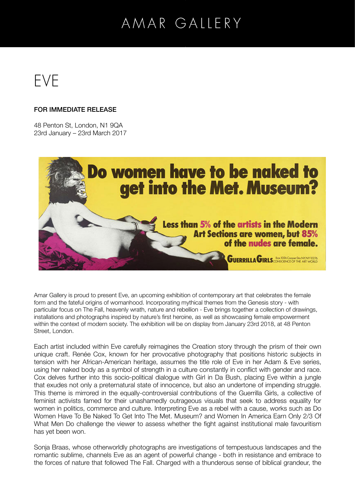# AMAR GALLERY



#### FOR IMMEDIATE RELEASE

48 Penton St, London, N1 9QA 23rd January – 23rd March 2017



Amar Gallery is proud to present Eve, an upcoming exhibition of contemporary art that celebrates the female form and the fateful origins of womanhood. Incorporating mythical themes from the Genesis story - with particular focus on The Fall, heavenly wrath, nature and rebellion - Eve brings together a collection of drawings, installations and photographs inspired by nature's first heroine, as well as showcasing female empowerment within the context of modern society. The exhibition will be on display from January 23rd 2018, at 48 Penton Street, London.

Each artist included within Eve carefully reimagines the Creation story through the prism of their own unique craft. Renée Cox, known for her provocative photography that positions historic subjects in tension with her African-American heritage, assumes the title role of Eve in her Adam & Eve series, using her naked body as a symbol of strength in a culture constantly in conflict with gender and race. Cox delves further into this socio-political dialogue with Girl in Da Bush, placing Eve within a jungle that exudes not only a preternatural state of innocence, but also an undertone of impending struggle. This theme is mirrored in the equally-controversial contributions of the Guerrilla Girls, a collective of feminist activists famed for their unashamedly outrageous visuals that seek to address equality for women in politics, commerce and culture. Interpreting Eve as a rebel with a cause, works such as Do Women Have To Be Naked To Get Into The Met. Museum? and Women In America Earn Only 2/3 Of What Men Do challenge the viewer to assess whether the fight against institutional male favouritism has yet been won.

Sonja Braas, whose otherworldly photographs are investigations of tempestuous landscapes and the romantic sublime, channels Eve as an agent of powerful change - both in resistance and embrace to the forces of nature that followed The Fall. Charged with a thunderous sense of biblical grandeur, the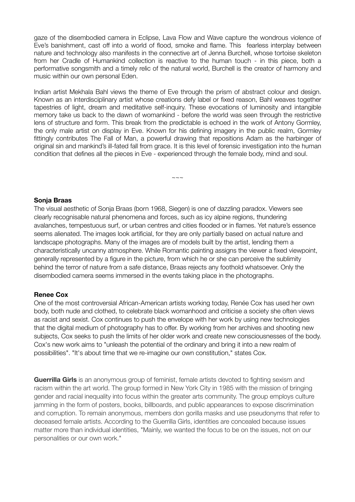gaze of the disembodied camera in Eclipse, Lava Flow and Wave capture the wondrous violence of Eve's banishment, cast off into a world of flood, smoke and flame. This fearless interplay between nature and technology also manifests in the connective art of Jenna Burchell, whose tortoise skeleton from her Cradle of Humankind collection is reactive to the human touch - in this piece, both a performative songsmith and a timely relic of the natural world, Burchell is the creator of harmony and music within our own personal Eden.

Indian artist Mekhala Bahl views the theme of Eve through the prism of abstract colour and design. Known as an interdisciplinary artist whose creations defy label or fixed reason, Bahl weaves together tapestries of light, dream and meditative self-inquiry. These evocations of luminosity and intangible memory take us back to the dawn of womankind - before the world was seen through the restrictive lens of structure and form. This break from the predictable is echoed in the work of Antony Gormley, the only male artist on display in Eve. Known for his defining imagery in the public realm, Gormley fittingly contributes The Fall of Man, a powerful drawing that repositions Adam as the harbinger of original sin and mankind's ill-fated fall from grace. It is this level of forensic investigation into the human condition that defines all the pieces in Eve - experienced through the female body, mind and soul.

 $\sim\sim\sim$ 

#### **Sonja Braas**

The visual aesthetic of Sonja Braas (born 1968, Siegen) is one of dazzling paradox. Viewers see clearly recognisable natural phenomena and forces, such as icy alpine regions, thundering avalanches, tempestuous surf, or urban centres and cities flooded or in flames. Yet nature's essence seems alienated. The images look artificial, for they are only partially based on actual nature and landscape photographs. Many of the images are of models built by the artist, lending them a characteristically uncanny atmosphere. While Romantic painting assigns the viewer a fixed viewpoint, generally represented by a figure in the picture, from which he or she can perceive the sublimity behind the terror of nature from a safe distance, Braas rejects any foothold whatsoever. Only the disembodied camera seems immersed in the events taking place in the photographs.

#### **Renee Cox**

One of the most controversial African-American artists working today, Renée Cox has used her own body, both nude and clothed, to celebrate black womanhood and criticise a society she often views as racist and sexist. Cox continues to push the envelope with her work by using new technologies that the digital medium of photography has to offer. By working from her archives and shooting new subjects, Cox seeks to push the limits of her older work and create new consciousnesses of the body. Cox's new work aims to "unleash the potential of the ordinary and bring it into a new realm of possibilities". "It's about time that we re-imagine our own constitution," states Cox.

**Guerrilla Girls** is an anonymous group of feminist, female artists devoted to fighting sexism and racism within the art world. The group formed in New York City in 1985 with the mission of bringing gender and racial inequality into focus within the greater arts community. The group employs culture jamming in the form of posters, books, billboards, and public appearances to expose discrimination and corruption. To remain anonymous, members don gorilla masks and use pseudonyms that refer to deceased female artists. According to the Guerrilla Girls, identities are concealed because issues matter more than individual identities, "Mainly, we wanted the focus to be on the issues, not on our personalities or our own work."